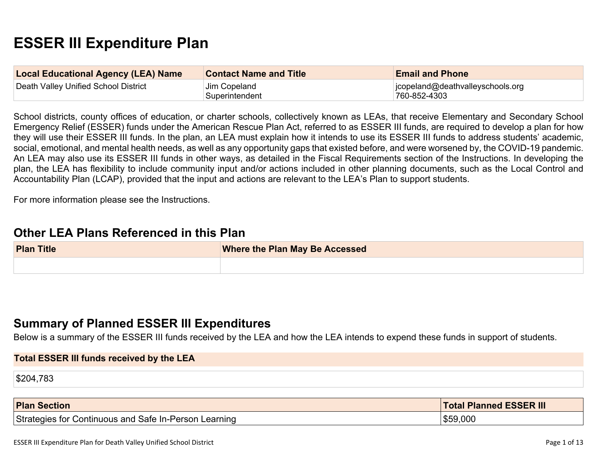# **ESSER III Expenditure Plan**

| <b>Local Educational Agency (LEA) Name</b> | <b>Contact Name and Title</b>  | <b>Email and Phone</b>                           |
|--------------------------------------------|--------------------------------|--------------------------------------------------|
| Death Valley Unified School District       | Jim Copeland<br>Superintendent | jcopeland@deathvalleyschools.org<br>760-852-4303 |

School districts, county offices of education, or charter schools, collectively known as LEAs, that receive Elementary and Secondary School Emergency Relief (ESSER) funds under the American Rescue Plan Act, referred to as ESSER III funds, are required to develop a plan for how they will use their ESSER III funds. In the plan, an LEA must explain how it intends to use its ESSER III funds to address students' academic, social, emotional, and mental health needs, as well as any opportunity gaps that existed before, and were worsened by, the COVID-19 pandemic. An LEA may also use its ESSER III funds in other ways, as detailed in the Fiscal Requirements section of the Instructions. In developing the plan, the LEA has flexibility to include community input and/or actions included in other planning documents, such as the Local Control and Accountability Plan (LCAP), provided that the input and actions are relevant to the LEA's Plan to support students.

For more information please see the Instructions.

#### **Other LEA Plans Referenced in this Plan**

| <b>Plan Title</b> | <b>Where the Plan May Be Accessed</b> |  |
|-------------------|---------------------------------------|--|
|                   |                                       |  |

#### **Summary of Planned ESSER III Expenditures**

Below is a summary of the ESSER III funds received by the LEA and how the LEA intends to expend these funds in support of students.

# **Total ESSER III funds received by the LEA** \$204,783

| <b>Plan Section</b>                                   | <b>Total Planned ESSER III</b> |
|-------------------------------------------------------|--------------------------------|
| Strategies for Continuous and Safe In-Person Learning | \$59,000                       |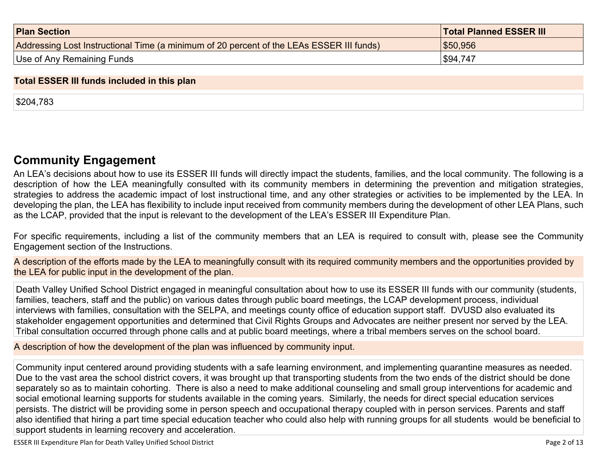| <b>Plan Section</b>                                                                      | <b>Total Planned ESSER III</b> |
|------------------------------------------------------------------------------------------|--------------------------------|
| Addressing Lost Instructional Time (a minimum of 20 percent of the LEAs ESSER III funds) | \$50,956                       |
| Use of Any Remaining Funds                                                               | \$94,747                       |

#### **Total ESSER III funds included in this plan**

\$204,783

### **Community Engagement**

An LEA's decisions about how to use its ESSER III funds will directly impact the students, families, and the local community. The following is a description of how the LEA meaningfully consulted with its community members in determining the prevention and mitigation strategies, strategies to address the academic impact of lost instructional time, and any other strategies or activities to be implemented by the LEA. In developing the plan, the LEA has flexibility to include input received from community members during the development of other LEA Plans, such as the LCAP, provided that the input is relevant to the development of the LEA's ESSER III Expenditure Plan.

For specific requirements, including a list of the community members that an LEA is required to consult with, please see the Community Engagement section of the Instructions.

A description of the efforts made by the LEA to meaningfully consult with its required community members and the opportunities provided by the LEA for public input in the development of the plan.

Death Valley Unified School District engaged in meaningful consultation about how to use its ESSER III funds with our community (students, families, teachers, staff and the public) on various dates through public board meetings, the LCAP development process, individual interviews with families, consultation with the SELPA, and meetings county office of education support staff. DVUSD also evaluated its stakeholder engagement opportunities and determined that Civil Rights Groups and Advocates are neither present nor served by the LEA. Tribal consultation occurred through phone calls and at public board meetings, where a tribal members serves on the school board.

A description of how the development of the plan was influenced by community input.

Community input centered around providing students with a safe learning environment, and implementing quarantine measures as needed. Due to the vast area the school district covers, it was brought up that transporting students from the two ends of the district should be done separately so as to maintain cohorting. There is also a need to make additional counseling and small group interventions for academic and social emotional learning supports for students available in the coming years. Similarly, the needs for direct special education services persists. The district will be providing some in person speech and occupational therapy coupled with in person services. Parents and staff also identified that hiring a part time special education teacher who could also help with running groups for all students would be beneficial to support students in learning recovery and acceleration.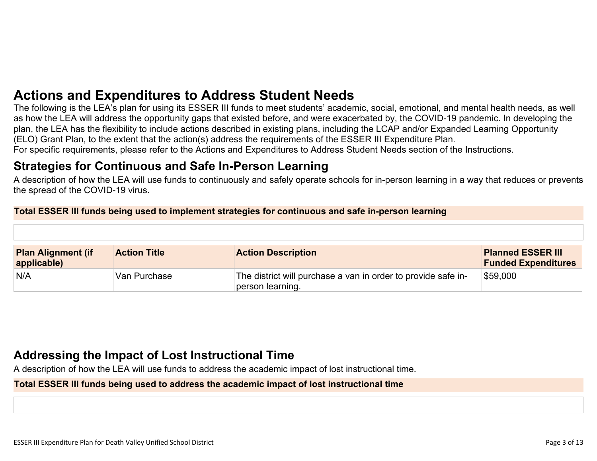## **Actions and Expenditures to Address Student Needs**

The following is the LEA's plan for using its ESSER III funds to meet students' academic, social, emotional, and mental health needs, as well as how the LEA will address the opportunity gaps that existed before, and were exacerbated by, the COVID-19 pandemic. In developing the plan, the LEA has the flexibility to include actions described in existing plans, including the LCAP and/or Expanded Learning Opportunity (ELO) Grant Plan, to the extent that the action(s) address the requirements of the ESSER III Expenditure Plan. For specific requirements, please refer to the Actions and Expenditures to Address Student Needs section of the Instructions.

### **Strategies for Continuous and Safe In-Person Learning**

A description of how the LEA will use funds to continuously and safely operate schools for in-person learning in a way that reduces or prevents the spread of the COVID-19 virus.

#### **Total ESSER III funds being used to implement strategies for continuous and safe in-person learning**

| <b>Plan Alignment (if</b><br>applicable) | <b>Action Title</b> | <b>Action Description</b>                                                         | <b>Planned ESSER III</b><br><b>Funded Expenditures</b> |
|------------------------------------------|---------------------|-----------------------------------------------------------------------------------|--------------------------------------------------------|
| N/A                                      | Van Purchase        | The district will purchase a van in order to provide safe in-<br>person learning. | $\$59,000$                                             |

## **Addressing the Impact of Lost Instructional Time**

A description of how the LEA will use funds to address the academic impact of lost instructional time.

#### **Total ESSER III funds being used to address the academic impact of lost instructional time**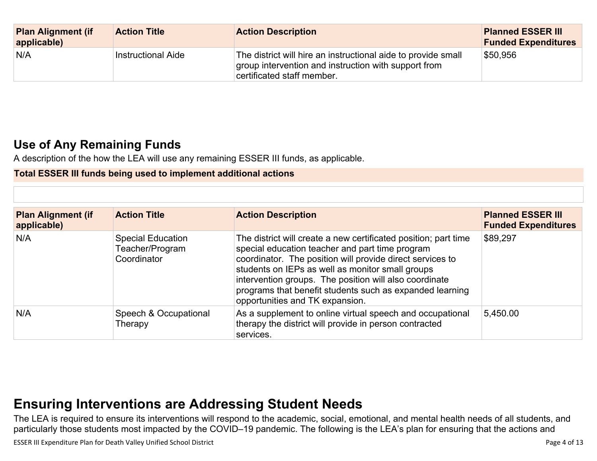| <b>Plan Alignment (if</b><br>applicable) | <b>Action Title</b> | <b>Action Description</b>                                                                                                                           | <b>Planned ESSER III</b><br><b>Funded Expenditures</b> |
|------------------------------------------|---------------------|-----------------------------------------------------------------------------------------------------------------------------------------------------|--------------------------------------------------------|
| N/A                                      | Instructional Aide  | The district will hire an instructional aide to provide small<br>group intervention and instruction with support from<br>certificated staff member. | \$50,956                                               |

## **Use of Any Remaining Funds**

A description of the how the LEA will use any remaining ESSER III funds, as applicable.

#### **Total ESSER III funds being used to implement additional actions**

| <b>Plan Alignment (if</b><br>applicable) | <b>Action Title</b>                                        | <b>Action Description</b>                                                                                                                                                                                                                                                                                                                                                                    | <b>Planned ESSER III</b><br><b>Funded Expenditures</b> |
|------------------------------------------|------------------------------------------------------------|----------------------------------------------------------------------------------------------------------------------------------------------------------------------------------------------------------------------------------------------------------------------------------------------------------------------------------------------------------------------------------------------|--------------------------------------------------------|
| N/A                                      | <b>Special Education</b><br>Teacher/Program<br>Coordinator | The district will create a new certificated position; part time<br>special education teacher and part time program<br>coordinator. The position will provide direct services to<br>students on IEPs as well as monitor small groups<br>intervention groups. The position will also coordinate<br>programs that benefit students such as expanded learning<br>opportunities and TK expansion. | \$89,297                                               |
| N/A                                      | Speech & Occupational<br>Therapy                           | As a supplement to online virtual speech and occupational<br>therapy the district will provide in person contracted<br>services.                                                                                                                                                                                                                                                             | 5,450.00                                               |

## **Ensuring Interventions are Addressing Student Needs**

The LEA is required to ensure its interventions will respond to the academic, social, emotional, and mental health needs of all students, and particularly those students most impacted by the COVID–19 pandemic. The following is the LEA's plan for ensuring that the actions and